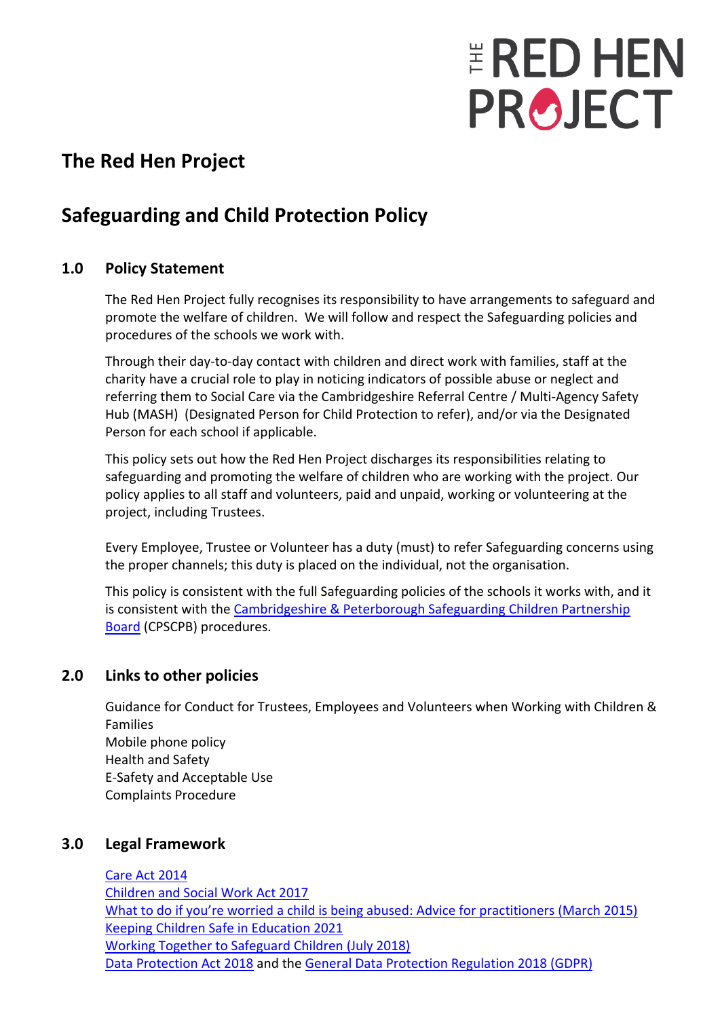# **ERED HEN PROJECT**

## **The Red Hen Project**

## **Safeguarding and Child Protection Policy**

#### **1.0 Policy Statement**

The Red Hen Project fully recognises its responsibility to have arrangements to safeguard and promote the welfare of children. We will follow and respect the Safeguarding policies and procedures of the schools we work with.

Through their day-to-day contact with children and direct work with families, staff at the charity have a crucial role to play in noticing indicators of possible abuse or neglect and referring them to Social Care via the Cambridgeshire Referral Centre / Multi-Agency Safety Hub (MASH) (Designated Person for Child Protection to refer), and/or via the Designated Person for each school if applicable.

This policy sets out how the Red Hen Project discharges its responsibilities relating to safeguarding and promoting the welfare of children who are working with the project. Our policy applies to all staff and volunteers, paid and unpaid, working or volunteering at the project, including Trustees.

Every Employee, Trustee or Volunteer has a duty (must) to refer Safeguarding concerns using the proper channels; this duty is placed on the individual, not the organisation.

This policy is consistent with the full Safeguarding policies of the schools it works with, and it is consistent with the [Cambridgeshire & Peterborough Safeguarding Children Partnership](http://www.safeguardingcambspeterborough.org.uk/children-board/)  [Board](http://www.safeguardingcambspeterborough.org.uk/children-board/) (CPSCPB) procedures.

#### **2.0 Links to other policies**

Guidance for Conduct for Trustees, Employees and Volunteers when Working with Children & Families Mobile phone policy Health and Safety E-Safety and Acceptable Use Complaints Procedure

#### **3.0 Legal Framework**

[Care Act 2014](http://www.legislation.gov.uk/ukpga/2014/23/contents/enacted) [Children and Social Work Act 2017](http://www.legislation.gov.uk/ukpga/2017/16/contents/enacted) [What to do if you're worried a child is being abused: Advice for practitioners \(March 2015\)](https://www.gov.uk/government/publications/what-to-do-if-youre-worried-a-child-is-being-abused--2)  [Keeping Children Safe in Education 2021](https://assets.publishing.service.gov.uk/government/uploads/system/uploads/attachment_data/file/1021914/KCSIE_2021_September_guidance.pdf) [Working Together to Safeguard Children \(July 2018\)](https://www.gov.uk/government/publications/working-together-to-safeguard-children--2) [Data Protection Act 2018](http://www.legislation.gov.uk/ukpga/2018/12/contents/enacted) and the [General Data Protection Regulation 2018 \(GDPR\)](https://www.gov.uk/government/publications/guide-to-the-general-data-protection-regulation)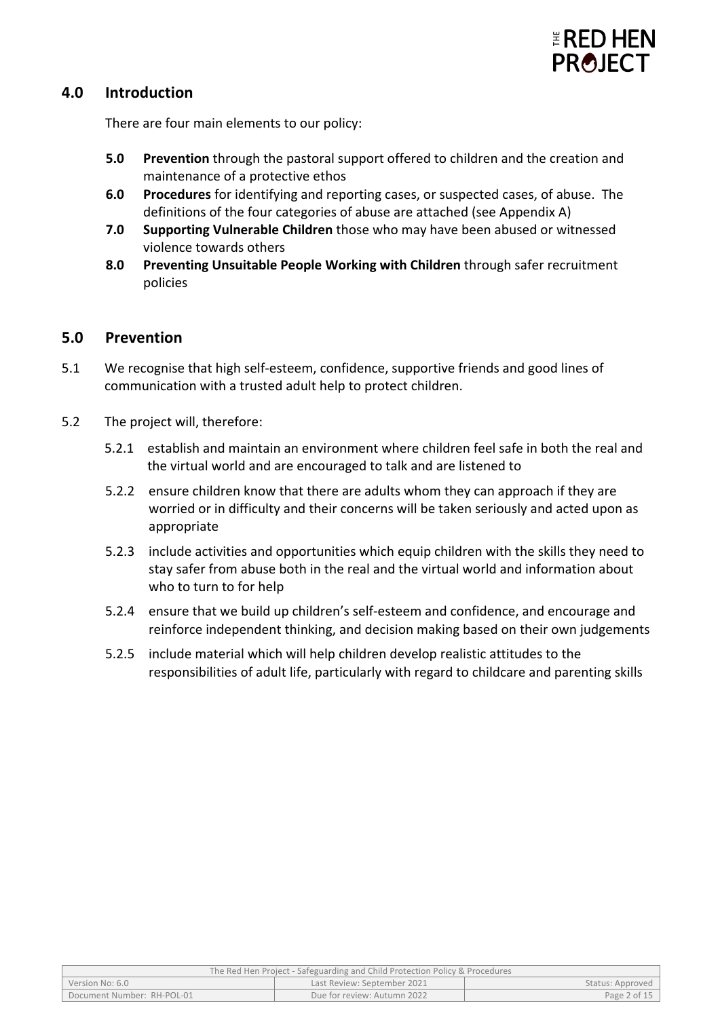

#### **4.0 Introduction**

There are four main elements to our policy:

- **5.0 Prevention** through the pastoral support offered to children and the creation and maintenance of a protective ethos
- **6.0 Procedures** for identifying and reporting cases, or suspected cases, of abuse. The definitions of the four categories of abuse are attached (see Appendix A)
- **7.0 Supporting Vulnerable Children** those who may have been abused or witnessed violence towards others
- **8.0 Preventing Unsuitable People Working with Children** through safer recruitment policies

#### **5.0 Prevention**

- 5.1 We recognise that high self-esteem, confidence, supportive friends and good lines of communication with a trusted adult help to protect children.
- 5.2 The project will, therefore:
	- 5.2.1 establish and maintain an environment where children feel safe in both the real and the virtual world and are encouraged to talk and are listened to
	- 5.2.2 ensure children know that there are adults whom they can approach if they are worried or in difficulty and their concerns will be taken seriously and acted upon as appropriate
	- 5.2.3 include activities and opportunities which equip children with the skills they need to stay safer from abuse both in the real and the virtual world and information about who to turn to for help
	- 5.2.4 ensure that we build up children's self-esteem and confidence, and encourage and reinforce independent thinking, and decision making based on their own judgements
	- 5.2.5 include material which will help children develop realistic attitudes to the responsibilities of adult life, particularly with regard to childcare and parenting skills

| The Red Hen Project - Safeguarding and Child Protection Policy & Procedures |                             |                  |  |
|-----------------------------------------------------------------------------|-----------------------------|------------------|--|
| Version No: 6.0                                                             | Last Review: September 2021 | Status: Approved |  |
| Document Number: RH-POL-01                                                  | Due for review: Autumn 2022 | Page 2 of 15     |  |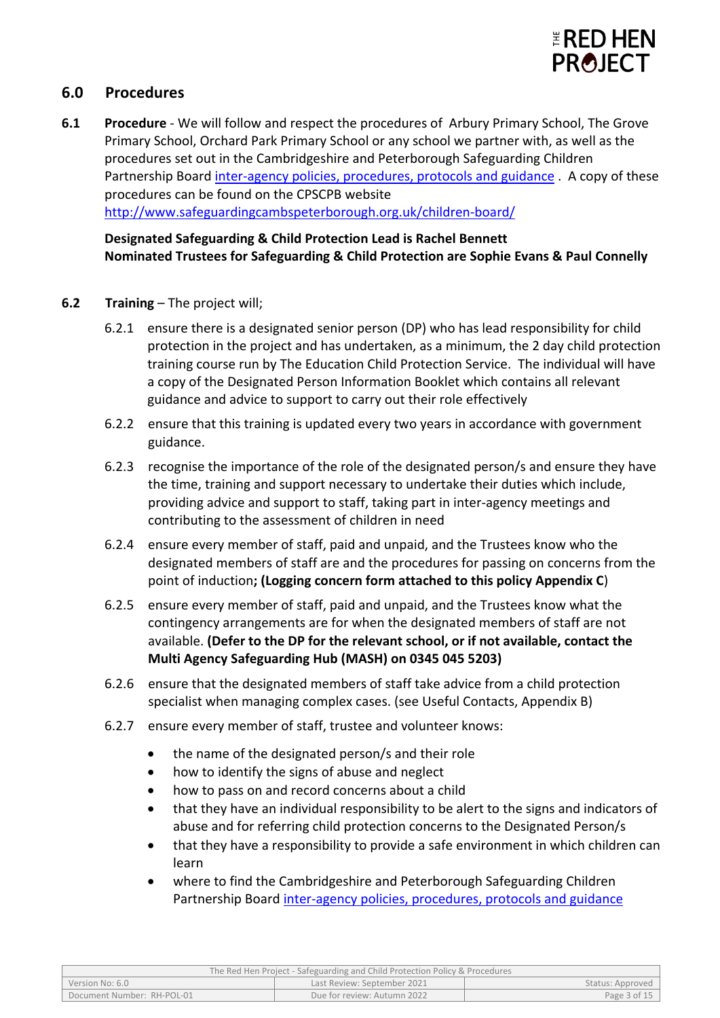

#### **6.0 Procedures**

**6.1 Procedure** - We will follow and respect the procedures of Arbury Primary School, The Grove Primary School, Orchard Park Primary School or any school we partner with, as well as the procedures set out in the Cambridgeshire and Peterborough Safeguarding Children Partnership Boar[d inter-agency policies, procedures, protocols and guidance](http://www.safeguardingcambspeterborough.org.uk/children-board/professionals/lscbprocedures/) . A copy of these procedures can be found on the CPSCPB website <http://www.safeguardingcambspeterborough.org.uk/children-board/>

**Designated Safeguarding & Child Protection Lead is Rachel Bennett Nominated Trustees for Safeguarding & Child Protection are Sophie Evans & Paul Connelly**

- **6.2 Training** The project will;
	- 6.2.1 ensure there is a designated senior person (DP) who has lead responsibility for child protection in the project and has undertaken, as a minimum, the 2 day child protection training course run by The Education Child Protection Service. The individual will have a copy of the Designated Person Information Booklet which contains all relevant guidance and advice to support to carry out their role effectively
	- 6.2.2 ensure that this training is updated every two years in accordance with government guidance.
	- 6.2.3 recognise the importance of the role of the designated person/s and ensure they have the time, training and support necessary to undertake their duties which include, providing advice and support to staff, taking part in inter-agency meetings and contributing to the assessment of children in need
	- 6.2.4 ensure every member of staff, paid and unpaid, and the Trustees know who the designated members of staff are and the procedures for passing on concerns from the point of induction**; (Logging concern form attached to this policy Appendix C**)
	- 6.2.5 ensure every member of staff, paid and unpaid, and the Trustees know what the contingency arrangements are for when the designated members of staff are not available. **(Defer to the DP for the relevant school, or if not available, contact the Multi Agency Safeguarding Hub (MASH) on 0345 045 5203)**
	- 6.2.6 ensure that the designated members of staff take advice from a child protection specialist when managing complex cases. (see Useful Contacts, Appendix B)
	- 6.2.7 ensure every member of staff, trustee and volunteer knows:
		- the name of the designated person/s and their role
		- how to identify the signs of abuse and neglect
		- how to pass on and record concerns about a child
		- that they have an individual responsibility to be alert to the signs and indicators of abuse and for referring child protection concerns to the Designated Person/s
		- that they have a responsibility to provide a safe environment in which children can learn
		- where to find the Cambridgeshire and Peterborough Safeguarding Children Partnership Board [inter-agency policies, procedures, protocols and guidance](http://www.safeguardingcambspeterborough.org.uk/children-board/professionals/lscbprocedures/)

| The Red Hen Project - Safeguarding and Child Protection Policy & Procedures |                             |                  |
|-----------------------------------------------------------------------------|-----------------------------|------------------|
| Version No: 6.0                                                             | Last Review: September 2021 | Status: Approved |
| Document Number: RH-POL-01                                                  | Due for review: Autumn 2022 | Page 3 of 15     |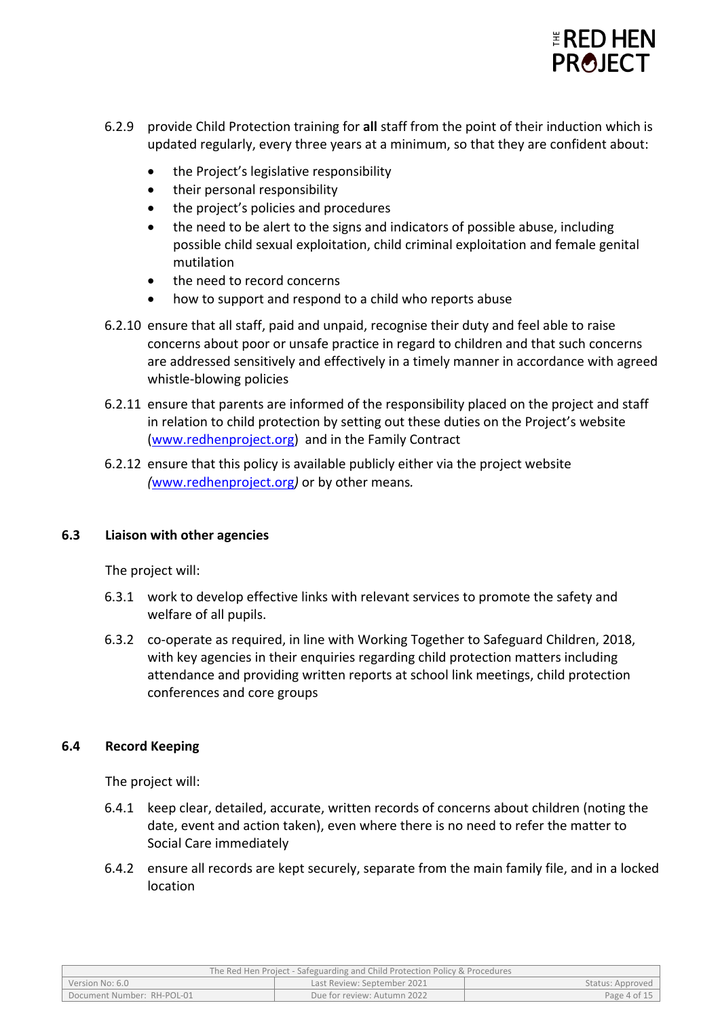

- 6.2.9 provide Child Protection training for **all** staff from the point of their induction which is updated regularly, every three years at a minimum, so that they are confident about:
	- the Project's legislative responsibility
	- their personal responsibility
	- the project's policies and procedures
	- the need to be alert to the signs and indicators of possible abuse, including possible child sexual exploitation, child criminal exploitation and female genital mutilation
	- the need to record concerns
	- how to support and respond to a child who reports abuse
- 6.2.10 ensure that all staff, paid and unpaid, recognise their duty and feel able to raise concerns about poor or unsafe practice in regard to children and that such concerns are addressed sensitively and effectively in a timely manner in accordance with agreed whistle-blowing policies
- 6.2.11 ensure that parents are informed of the responsibility placed on the project and staff in relation to child protection by setting out these duties on the Project's website [\(www.redhenproject.org\)](https://redhenproject.sharepoint.com/sites/POLICIESPROCEDURES/Shared%20Documents/Convert%20to%20new%20format/NEW%20FORMAT/www.redhenproject.org) and in the Family Contract
- 6.2.12 ensure that this policy is available publicly either via the project website *(*[www.redhenproject.org](http://www.redhenproject.org/)*)* or by other means*.*

#### **6.3 Liaison with other agencies**

The project will:

- 6.3.1 work to develop effective links with relevant services to promote the safety and welfare of all pupils.
- 6.3.2 co-operate as required, in line with Working Together to Safeguard Children, 2018, with key agencies in their enquiries regarding child protection matters including attendance and providing written reports at school link meetings, child protection conferences and core groups

#### **6.4 Record Keeping**

The project will:

- 6.4.1 keep clear, detailed, accurate, written records of concerns about children (noting the date, event and action taken), even where there is no need to refer the matter to Social Care immediately
- 6.4.2 ensure all records are kept securely, separate from the main family file, and in a locked location

| The Red Hen Project - Safeguarding and Child Protection Policy & Procedures |                             |                  |  |
|-----------------------------------------------------------------------------|-----------------------------|------------------|--|
| Version No: 6.0                                                             | Last Review: September 2021 | Status: Approved |  |
| Document Number: RH-POL-01                                                  | Due for review: Autumn 2022 | Page 4 of 15     |  |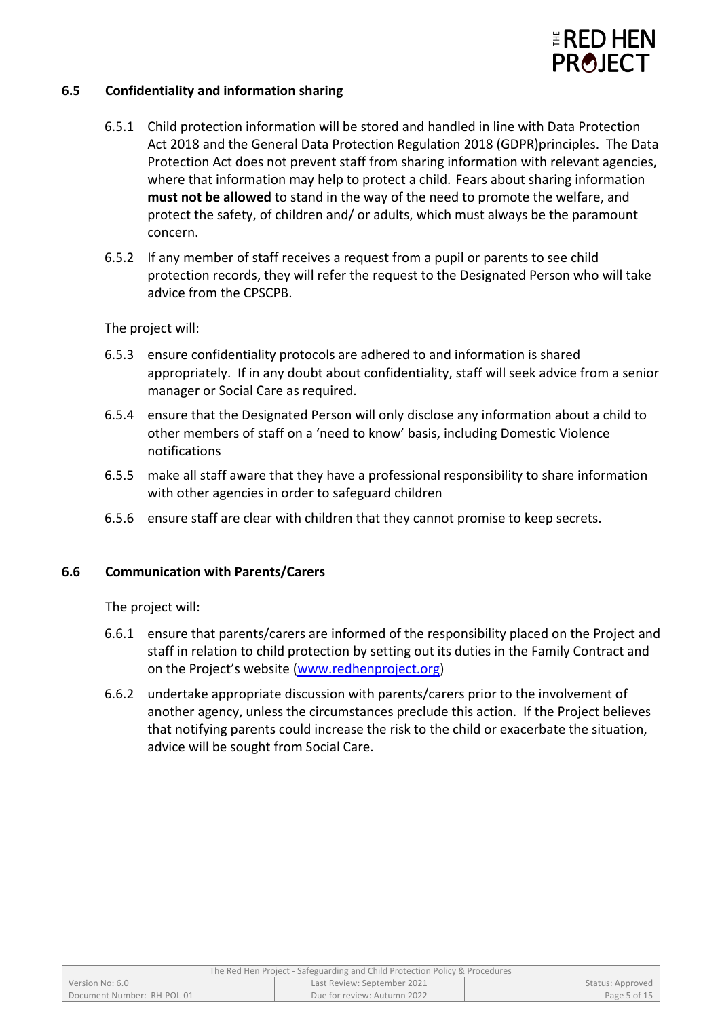

#### **6.5 Confidentiality and information sharing**

- 6.5.1 Child protection information will be stored and handled in line with Data Protection Act 2018 and the General Data Protection Regulation 2018 (GDPR)principles. The Data Protection Act does not prevent staff from sharing information with relevant agencies, where that information may help to protect a child. Fears about sharing information **must not be allowed** to stand in the way of the need to promote the welfare, and protect the safety, of children and/ or adults, which must always be the paramount concern.
- 6.5.2 If any member of staff receives a request from a pupil or parents to see child protection records, they will refer the request to the Designated Person who will take advice from the CPSCPB.

The project will:

- 6.5.3 ensure confidentiality protocols are adhered to and information is shared appropriately. If in any doubt about confidentiality, staff will seek advice from a senior manager or Social Care as required.
- 6.5.4 ensure that the Designated Person will only disclose any information about a child to other members of staff on a 'need to know' basis, including Domestic Violence notifications
- 6.5.5 make all staff aware that they have a professional responsibility to share information with other agencies in order to safeguard children
- 6.5.6 ensure staff are clear with children that they cannot promise to keep secrets.

#### **6.6 Communication with Parents/Carers**

The project will:

- 6.6.1 ensure that parents/carers are informed of the responsibility placed on the Project and staff in relation to child protection by setting out its duties in the Family Contract and on the Project's website [\(www.redhenproject.org\)](http://www.redhenproject.org/)
- 6.6.2 undertake appropriate discussion with parents/carers prior to the involvement of another agency, unless the circumstances preclude this action. If the Project believes that notifying parents could increase the risk to the child or exacerbate the situation, advice will be sought from Social Care.

| The Red Hen Project - Safeguarding and Child Protection Policy & Procedures |                             |                  |  |
|-----------------------------------------------------------------------------|-----------------------------|------------------|--|
| Version No: 6.0                                                             | Last Review: September 2021 | Status: Approved |  |
| Document Number: RH-POL-01                                                  | Due for review: Autumn 2022 | Page 5 of 15     |  |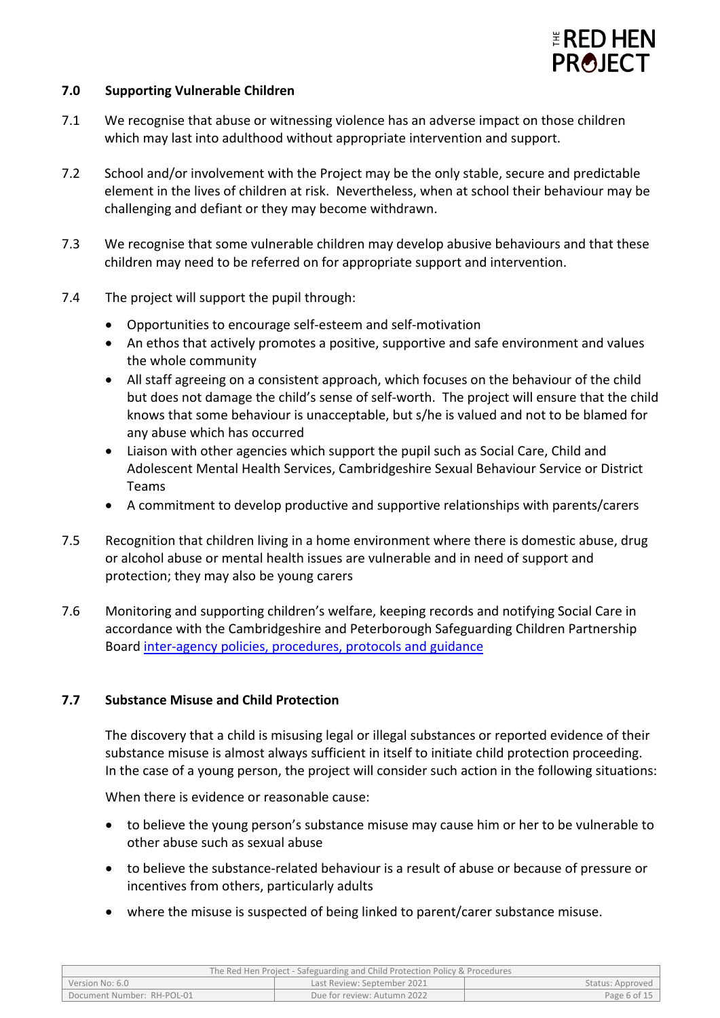

#### **7.0 Supporting Vulnerable Children**

- 7.1 We recognise that abuse or witnessing violence has an adverse impact on those children which may last into adulthood without appropriate intervention and support.
- 7.2 School and/or involvement with the Project may be the only stable, secure and predictable element in the lives of children at risk. Nevertheless, when at school their behaviour may be challenging and defiant or they may become withdrawn.
- 7.3 We recognise that some vulnerable children may develop abusive behaviours and that these children may need to be referred on for appropriate support and intervention.
- 7.4 The project will support the pupil through:
	- Opportunities to encourage self-esteem and self-motivation
	- An ethos that actively promotes a positive, supportive and safe environment and values the whole community
	- All staff agreeing on a consistent approach, which focuses on the behaviour of the child but does not damage the child's sense of self-worth. The project will ensure that the child knows that some behaviour is unacceptable, but s/he is valued and not to be blamed for any abuse which has occurred
	- Liaison with other agencies which support the pupil such as Social Care, Child and Adolescent Mental Health Services, Cambridgeshire Sexual Behaviour Service or District Teams
	- A commitment to develop productive and supportive relationships with parents/carers
- 7.5 Recognition that children living in a home environment where there is domestic abuse, drug or alcohol abuse or mental health issues are vulnerable and in need of support and protection; they may also be young carers
- 7.6 Monitoring and supporting children's welfare, keeping records and notifying Social Care in accordance with the Cambridgeshire and Peterborough Safeguarding Children Partnership Board [inter-agency policies, procedures, protocols and guidance](http://www.safeguardingcambspeterborough.org.uk/children-board/professionals/lscbprocedures/)

#### **7.7 Substance Misuse and Child Protection**

The discovery that a child is misusing legal or illegal substances or reported evidence of their substance misuse is almost always sufficient in itself to initiate child protection proceeding. In the case of a young person, the project will consider such action in the following situations:

When there is evidence or reasonable cause:

- to believe the young person's substance misuse may cause him or her to be vulnerable to other abuse such as sexual abuse
- to believe the substance-related behaviour is a result of abuse or because of pressure or incentives from others, particularly adults
- where the misuse is suspected of being linked to parent/carer substance misuse.

| The Red Hen Project - Safeguarding and Child Protection Policy & Procedures |                             |                  |
|-----------------------------------------------------------------------------|-----------------------------|------------------|
| Version No: 6.0                                                             | Last Review: September 2021 | Status: Approved |
| Document Number: RH-POL-01                                                  | Due for review: Autumn 2022 | Page 6 of 15     |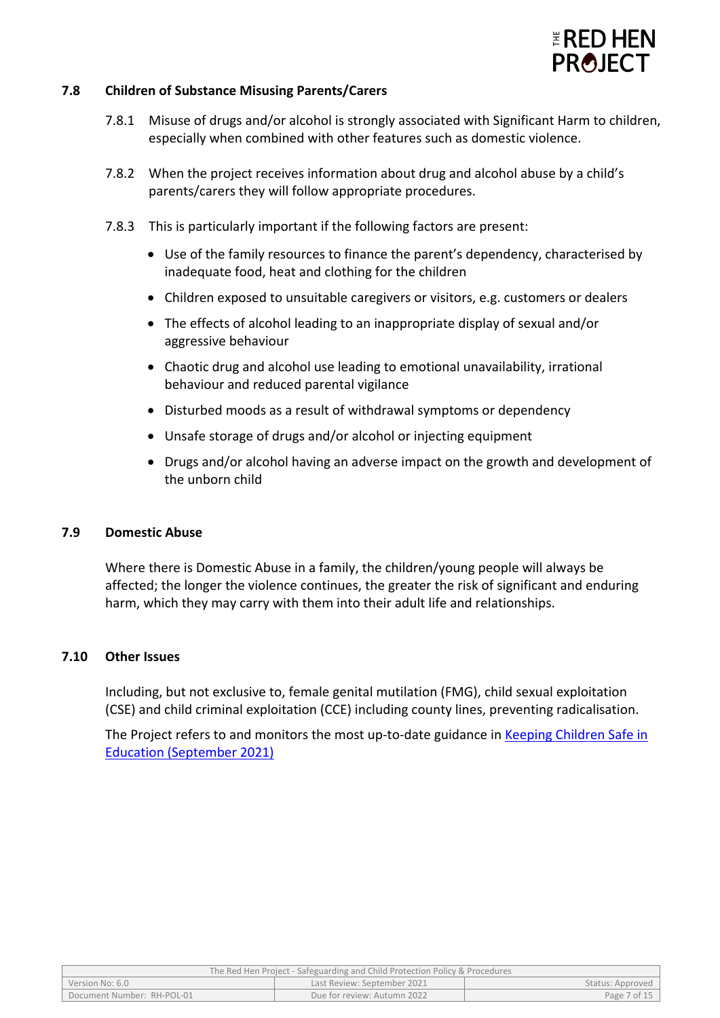

#### **7.8 Children of Substance Misusing Parents/Carers**

- 7.8.1 Misuse of drugs and/or alcohol is strongly associated with Significant Harm to children, especially when combined with other features such as domestic violence.
- 7.8.2 When the project receives information about drug and alcohol abuse by a child's parents/carers they will follow appropriate procedures.
- 7.8.3 This is particularly important if the following factors are present:
	- Use of the family resources to finance the parent's dependency, characterised by inadequate food, heat and clothing for the children
	- Children exposed to unsuitable caregivers or visitors, e.g. customers or dealers
	- The effects of alcohol leading to an inappropriate display of sexual and/or aggressive behaviour
	- Chaotic drug and alcohol use leading to emotional unavailability, irrational behaviour and reduced parental vigilance
	- Disturbed moods as a result of withdrawal symptoms or dependency
	- Unsafe storage of drugs and/or alcohol or injecting equipment
	- Drugs and/or alcohol having an adverse impact on the growth and development of the unborn child

#### **7.9 Domestic Abuse**

Where there is Domestic Abuse in a family, the children/young people will always be affected; the longer the violence continues, the greater the risk of significant and enduring harm, which they may carry with them into their adult life and relationships.

#### **7.10 Other Issues**

Including, but not exclusive to, female genital mutilation (FMG), child sexual exploitation (CSE) and child criminal exploitation (CCE) including county lines, preventing radicalisation.

The Project refers to and monitors the most up-to-date guidance in [Keeping Children Safe in](https://assets.publishing.service.gov.uk/government/uploads/system/uploads/attachment_data/file/1021914/KCSIE_2021_September_guidance.pdf)  [Education \(September 2021\)](https://assets.publishing.service.gov.uk/government/uploads/system/uploads/attachment_data/file/1021914/KCSIE_2021_September_guidance.pdf)

| The Red Hen Project - Safeguarding and Child Protection Policy & Procedures |                             |              |  |
|-----------------------------------------------------------------------------|-----------------------------|--------------|--|
| Last Review: September 2021<br>Version No: 6.0<br>Status: Approved          |                             |              |  |
| Document Number: RH-POL-01                                                  | Due for review: Autumn 2022 | Page 7 of 15 |  |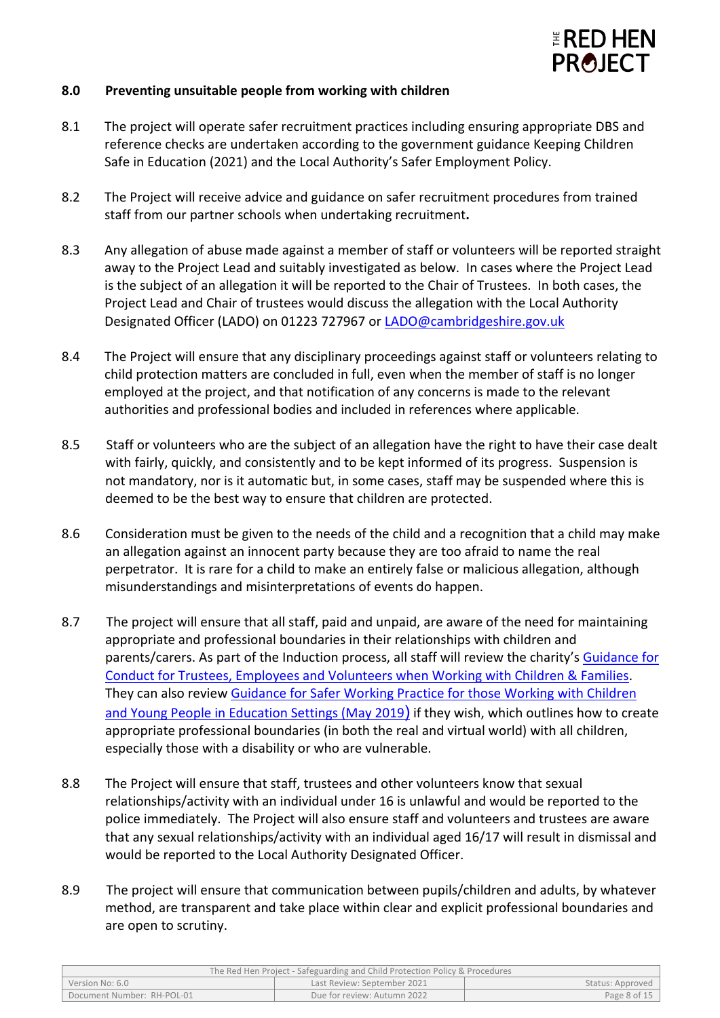

#### **8.0 Preventing unsuitable people from working with children**

- 8.1 The project will operate safer recruitment practices including ensuring appropriate DBS and reference checks are undertaken according to the government guidance Keeping Children Safe in Education (2021) and the Local Authority's Safer Employment Policy.
- 8.2 The Project will receive advice and guidance on safer recruitment procedures from trained staff from our partner schools when undertaking recruitment**.**
- 8.3 Any allegation of abuse made against a member of staff or volunteers will be reported straight away to the Project Lead and suitably investigated as below. In cases where the Project Lead is the subject of an allegation it will be reported to the Chair of Trustees. In both cases, the Project Lead and Chair of trustees would discuss the allegation with the Local Authority Designated Officer (LADO) on 01223 727967 or [LADO@cambridgeshire.gov.uk](mailto:LADO@cambridgeshire.gov.uk)
- 8.4 The Project will ensure that any disciplinary proceedings against staff or volunteers relating to child protection matters are concluded in full, even when the member of staff is no longer employed at the project, and that notification of any concerns is made to the relevant authorities and professional bodies and included in references where applicable.
- 8.5 Staff or volunteers who are the subject of an allegation have the right to have their case dealt with fairly, quickly, and consistently and to be kept informed of its progress. Suspension is not mandatory, nor is it automatic but, in some cases, staff may be suspended where this is deemed to be the best way to ensure that children are protected.
- 8.6 Consideration must be given to the needs of the child and a recognition that a child may make an allegation against an innocent party because they are too afraid to name the real perpetrator. It is rare for a child to make an entirely false or malicious allegation, although misunderstandings and misinterpretations of events do happen.
- 8.7 The project will ensure that all staff, paid and unpaid, are aware of the need for maintaining appropriate and professional boundaries in their relationships with children and parents/carers. As part of the Induction process, all staff will review the charity's [Guidance for](https://redhenproject.sharepoint.com/:b:/r/sites/HRRedHen/Shared%20Documents/General/Policies%20Procedures/Published/General%20Policies/RED%20HEN%20POLICY%202%20-%20GUIDANCE%20FOR%20CONDUCT%20FOR%20TRUSTEES,%20EMPLOYEES%20%26%20VOLUNTEERS%20WHEN%20WORKING%20WITH%20CHILDREN%20%26%20FAMILIES.pdf?csf=1&web=1&e=aI4t5s)  [Conduct for Trustees, Employees and Volunteers when Working with Children & Families.](https://redhenproject.sharepoint.com/:b:/r/sites/HRRedHen/Shared%20Documents/General/Policies%20Procedures/Published/General%20Policies/RED%20HEN%20POLICY%202%20-%20GUIDANCE%20FOR%20CONDUCT%20FOR%20TRUSTEES,%20EMPLOYEES%20%26%20VOLUNTEERS%20WHEN%20WORKING%20WITH%20CHILDREN%20%26%20FAMILIES.pdf?csf=1&web=1&e=aI4t5s) They can also review [Guidance for Safer Working Practice for those](https://c-cluster-110.uploads.documents.cimpress.io/v1/uploads/13ecce28-e8f2-49e9-83c6-c29337cd8071%7E110/original?tenant=vbu-digital) Working with Children [and Young People in Education](https://c-cluster-110.uploads.documents.cimpress.io/v1/uploads/13ecce28-e8f2-49e9-83c6-c29337cd8071%7E110/original?tenant=vbu-digital) Settings (May 2019) if they wish, which outlines how to create appropriate professional boundaries (in both the real and virtual world) with all children, especially those with a disability or who are vulnerable.
- 8.8 The Project will ensure that staff, trustees and other volunteers know that sexual relationships/activity with an individual under 16 is unlawful and would be reported to the police immediately. The Project will also ensure staff and volunteers and trustees are aware that any sexual relationships/activity with an individual aged 16/17 will result in dismissal and would be reported to the Local Authority Designated Officer.
- 8.9 The project will ensure that communication between pupils/children and adults, by whatever method, are transparent and take place within clear and explicit professional boundaries and are open to scrutiny.

| The Red Hen Project - Safeguarding and Child Protection Policy & Procedures |                             |              |
|-----------------------------------------------------------------------------|-----------------------------|--------------|
| Version No: 6.0<br>Last Review: September 2021<br>Status: Approved          |                             |              |
| Document Number: RH-POL-01                                                  | Due for review: Autumn 2022 | Page 8 of 15 |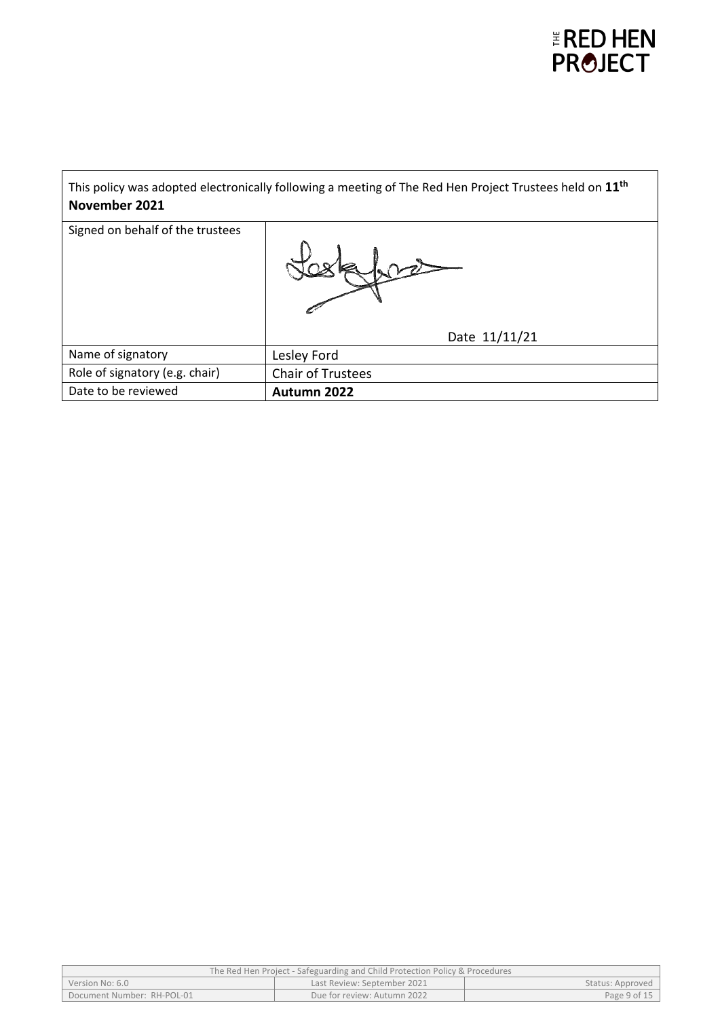

| This policy was adopted electronically following a meeting of The Red Hen Project Trustees held on 11 <sup>th</sup><br>November 2021 |                          |  |
|--------------------------------------------------------------------------------------------------------------------------------------|--------------------------|--|
| Signed on behalf of the trustees                                                                                                     |                          |  |
|                                                                                                                                      | Date 11/11/21            |  |
| Name of signatory                                                                                                                    | Lesley Ford              |  |
| Role of signatory (e.g. chair)                                                                                                       | <b>Chair of Trustees</b> |  |
| Date to be reviewed                                                                                                                  | Autumn 2022              |  |

| The Red Hen Project - Safeguarding and Child Protection Policy & Procedures |                             |              |  |
|-----------------------------------------------------------------------------|-----------------------------|--------------|--|
| Last Review: September 2021<br>Status: Approved<br>Version No: 6.0          |                             |              |  |
| Document Number: RH-POL-01                                                  | Due for review: Autumn 2022 | Page 9 of 15 |  |
|                                                                             |                             |              |  |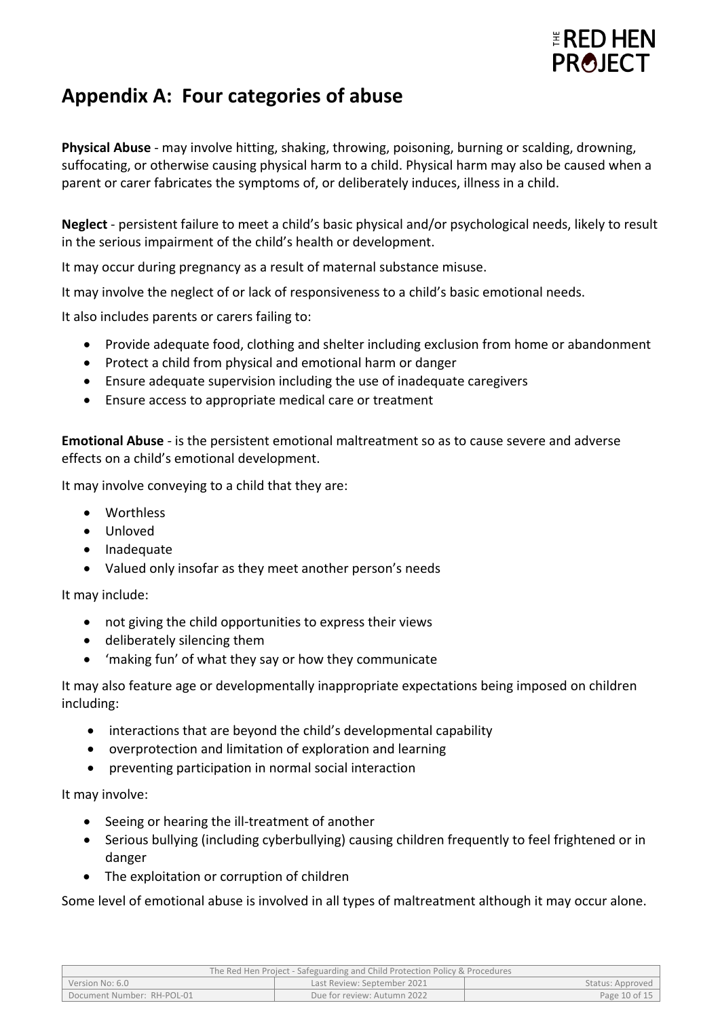

## **Appendix A: Four categories of abuse**

**Physical Abuse** - may involve hitting, shaking, throwing, poisoning, burning or scalding, drowning, suffocating, or otherwise causing physical harm to a child. Physical harm may also be caused when a parent or carer fabricates the symptoms of, or deliberately induces, illness in a child.

**Neglect** - persistent failure to meet a child's basic physical and/or psychological needs, likely to result in the serious impairment of the child's health or development.

It may occur during pregnancy as a result of maternal substance misuse.

It may involve the neglect of or lack of responsiveness to a child's basic emotional needs.

It also includes parents or carers failing to:

- Provide adequate food, clothing and shelter including exclusion from home or abandonment
- Protect a child from physical and emotional harm or danger
- Ensure adequate supervision including the use of inadequate caregivers
- Ensure access to appropriate medical care or treatment

**Emotional Abuse** - is the persistent emotional maltreatment so as to cause severe and adverse effects on a child's emotional development.

It may involve conveying to a child that they are:

- Worthless
- Unloved
- Inadequate
- Valued only insofar as they meet another person's needs

It may include:

- not giving the child opportunities to express their views
- deliberately silencing them
- 'making fun' of what they say or how they communicate

It may also feature age or developmentally inappropriate expectations being imposed on children including:

- interactions that are beyond the child's developmental capability
- overprotection and limitation of exploration and learning
- preventing participation in normal social interaction

It may involve:

- Seeing or hearing the ill-treatment of another
- Serious bullying (including cyberbullying) causing children frequently to feel frightened or in danger
- The exploitation or corruption of children

Some level of emotional abuse is involved in all types of maltreatment although it may occur alone.

| The Red Hen Project - Safeguarding and Child Protection Policy & Procedures |                             |                  |
|-----------------------------------------------------------------------------|-----------------------------|------------------|
| Version No: 6.0                                                             | Last Review: September 2021 | Status: Approved |
| Document Number: RH-POL-01                                                  | Due for review: Autumn 2022 | Page 10 of 15    |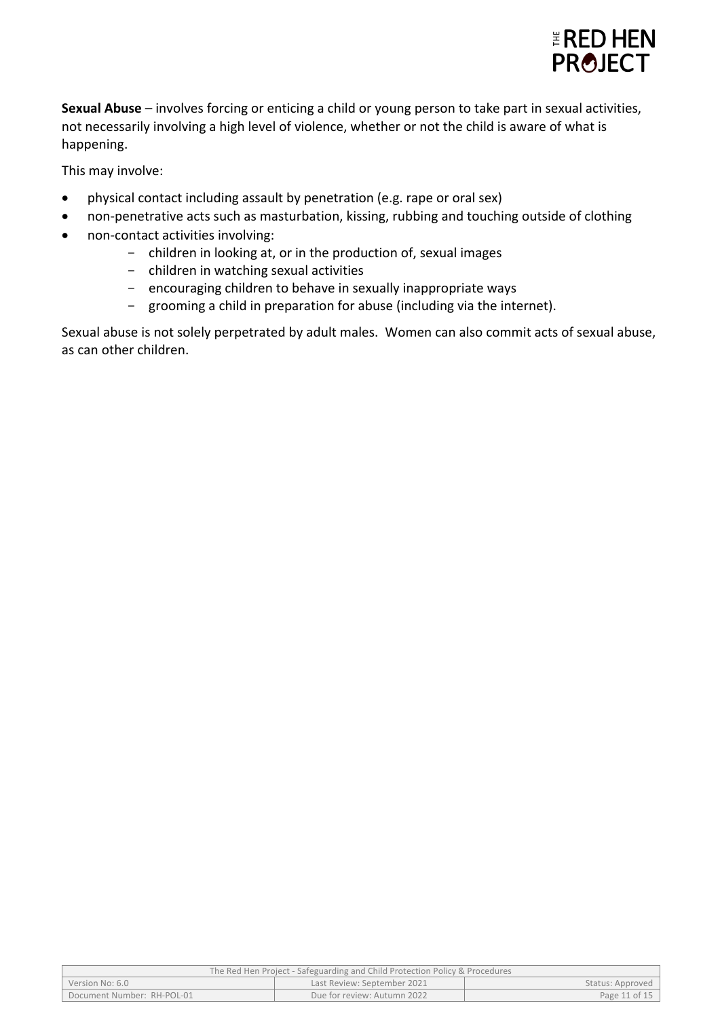

**Sexual Abuse** – involves forcing or enticing a child or young person to take part in sexual activities, not necessarily involving a high level of violence, whether or not the child is aware of what is happening.

This may involve:

- physical contact including assault by penetration (e.g. rape or oral sex)
- non-penetrative acts such as masturbation, kissing, rubbing and touching outside of clothing
- non-contact activities involving:
	- children in looking at, or in the production of, sexual images
		- children in watching sexual activities
		- encouraging children to behave in sexually inappropriate ways
		- grooming a child in preparation for abuse (including via the internet).

Sexual abuse is not solely perpetrated by adult males. Women can also commit acts of sexual abuse, as can other children.

| The Red Hen Project - Safeguarding and Child Protection Policy & Procedures |                             |               |  |
|-----------------------------------------------------------------------------|-----------------------------|---------------|--|
| Last Review: September 2021<br>Version No: 6.0<br>Status: Approved          |                             |               |  |
| Document Number: RH-POL-01                                                  | Due for review: Autumn 2022 | Page 11 of 15 |  |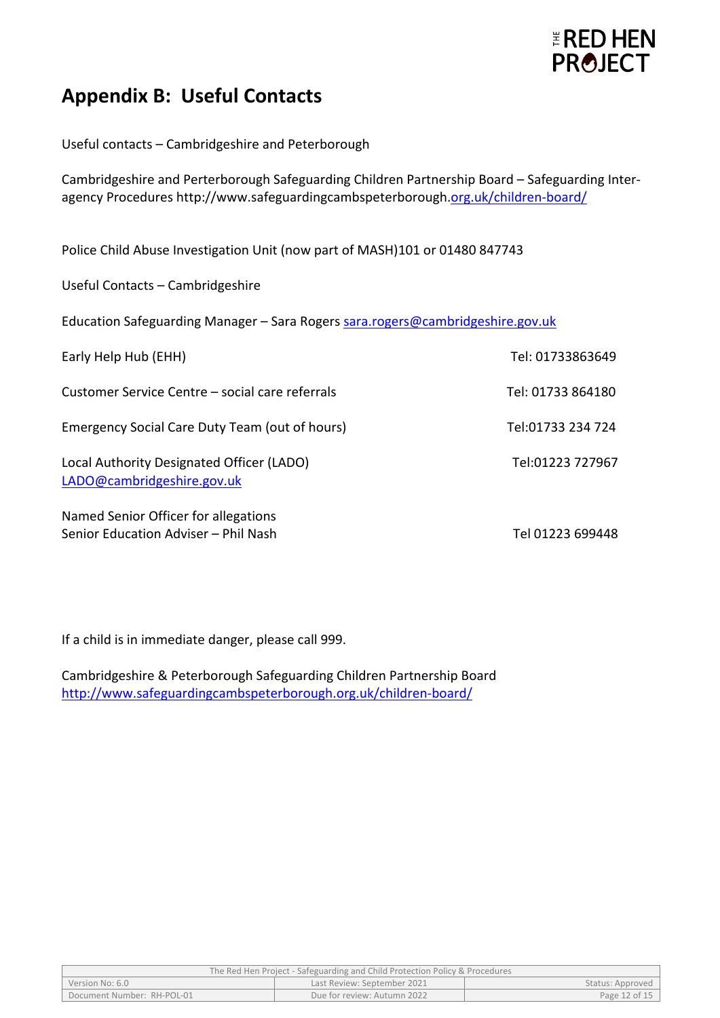

### **Appendix B: Useful Contacts**

Useful contacts – Cambridgeshire and Peterborough

Cambridgeshire and Perterborough Safeguarding Children Partnership Board – Safeguarding Interagency Procedures<http://www.safeguardingcambspeterborough.org.uk/children-board/>

Police Child Abuse Investigation Unit (now part of MASH)101 or 01480 847743

Useful Contacts – Cambridgeshire

Education Safeguarding Manager - Sara Rogers [sara.rogers@cambridgeshire.gov.uk](mailto:sara.rogers@cambridgeshire.gov.uk)

| Early Help Hub (EHH)                                                         | Tel: 01733863649  |
|------------------------------------------------------------------------------|-------------------|
| Customer Service Centre – social care referrals                              | Tel: 01733 864180 |
| Emergency Social Care Duty Team (out of hours)                               | Tel:01733 234 724 |
| Local Authority Designated Officer (LADO)<br>LADO@cambridgeshire.gov.uk      | Tel:01223 727967  |
| Named Senior Officer for allegations<br>Senior Education Adviser - Phil Nash | Tel 01223 699448  |

If a child is in immediate danger, please call 999.

Cambridgeshire & Peterborough Safeguarding Children Partnership Board <http://www.safeguardingcambspeterborough.org.uk/children-board/>

| The Red Hen Project - Safeguarding and Child Protection Policy & Procedures |                             |                  |  |
|-----------------------------------------------------------------------------|-----------------------------|------------------|--|
| Version No: 6.0                                                             | Last Review: September 2021 | Status: Approved |  |
| Document Number: RH-POL-01                                                  | Due for review: Autumn 2022 | Page 12 of 15    |  |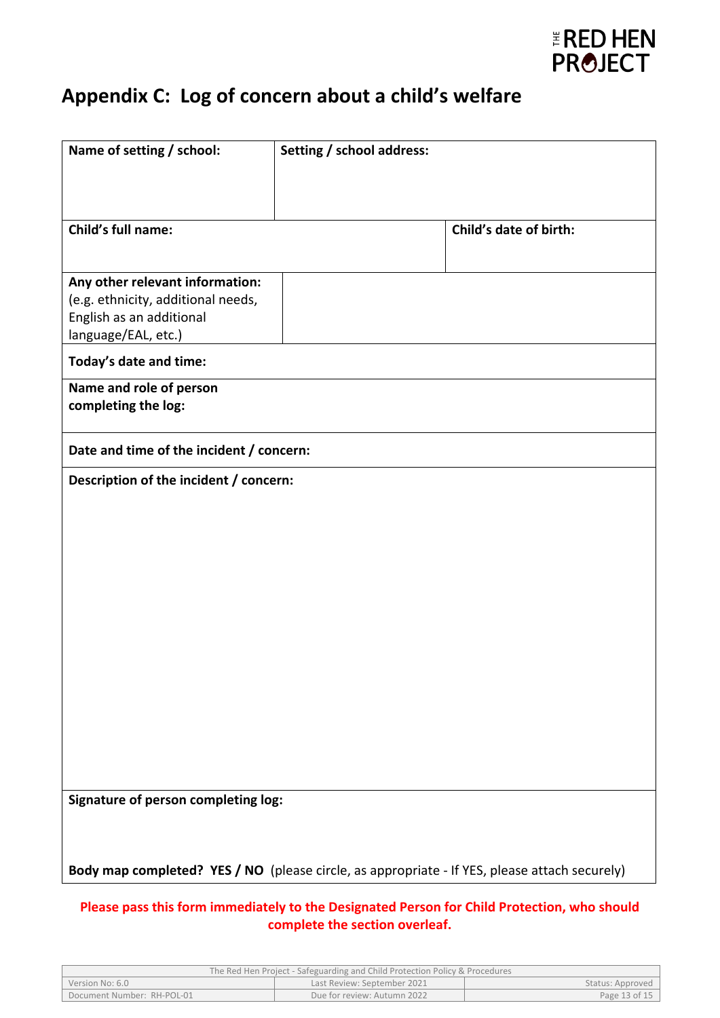

## **Appendix C: Log of concern about a child's welfare**

| Name of setting / school:                                                                                                | Setting / school address: |                        |
|--------------------------------------------------------------------------------------------------------------------------|---------------------------|------------------------|
|                                                                                                                          |                           |                        |
| Child's full name:                                                                                                       |                           | Child's date of birth: |
| Any other relevant information:<br>(e.g. ethnicity, additional needs,<br>English as an additional<br>language/EAL, etc.) |                           |                        |
| Today's date and time:                                                                                                   |                           |                        |
| Name and role of person<br>completing the log:                                                                           |                           |                        |
| Date and time of the incident / concern:                                                                                 |                           |                        |
| Description of the incident / concern:                                                                                   |                           |                        |
|                                                                                                                          |                           |                        |
|                                                                                                                          |                           |                        |
|                                                                                                                          |                           |                        |
|                                                                                                                          |                           |                        |
|                                                                                                                          |                           |                        |
|                                                                                                                          |                           |                        |
|                                                                                                                          |                           |                        |
|                                                                                                                          |                           |                        |
|                                                                                                                          |                           |                        |
| Signature of person completing log:                                                                                      |                           |                        |
|                                                                                                                          |                           |                        |
| Body map completed? YES / NO (please circle, as appropriate - If YES, please attach securely)                            |                           |                        |
| Please pass this form immediately to the Designated Person for Child Protection, who should                              |                           |                        |

**complete the section overleaf.**

| The Red Hen Project - Safeguarding and Child Protection Policy & Procedures |                             |                  |
|-----------------------------------------------------------------------------|-----------------------------|------------------|
| Version No: 6.0                                                             | Last Review: September 2021 | Status: Approved |
| Document Number: RH-POL-01                                                  | Due for review: Autumn 2022 | Page 13 of 15    |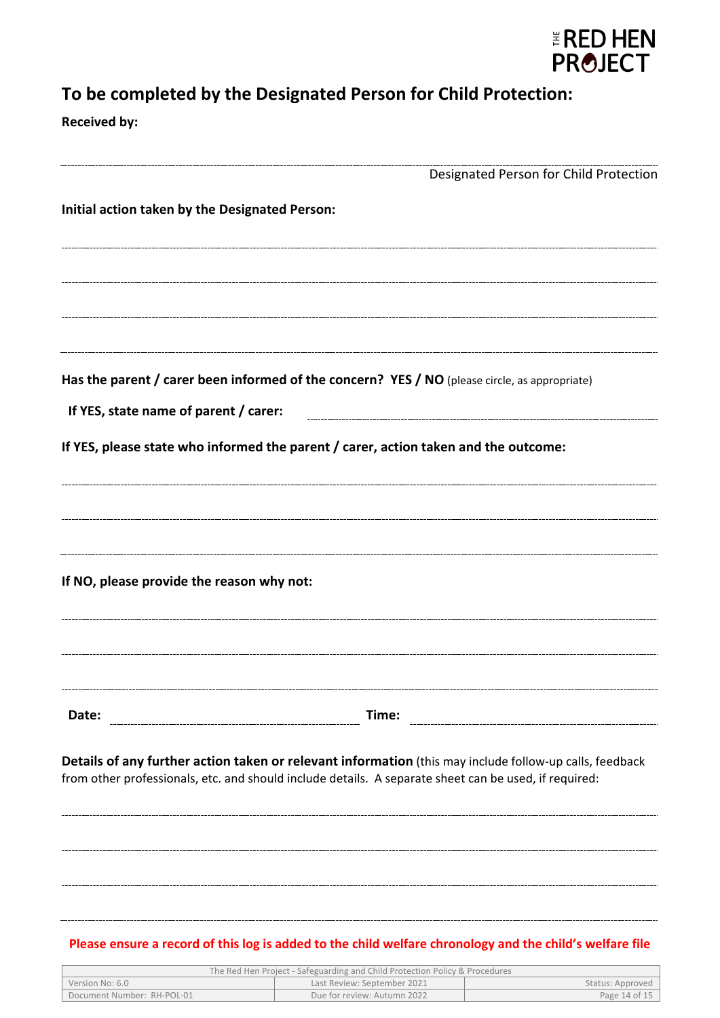

## **To be completed by the Designated Person for Child Protection:**

**Received by:**

|                                                                                                                                                                                                                  | Designated Person for Child Protection |
|------------------------------------------------------------------------------------------------------------------------------------------------------------------------------------------------------------------|----------------------------------------|
| Initial action taken by the Designated Person:                                                                                                                                                                   |                                        |
|                                                                                                                                                                                                                  |                                        |
|                                                                                                                                                                                                                  |                                        |
|                                                                                                                                                                                                                  |                                        |
|                                                                                                                                                                                                                  |                                        |
| Has the parent / carer been informed of the concern? YES / NO (please circle, as appropriate)                                                                                                                    |                                        |
| If YES, state name of parent / carer:                                                                                                                                                                            |                                        |
| If YES, please state who informed the parent / carer, action taken and the outcome:                                                                                                                              |                                        |
|                                                                                                                                                                                                                  |                                        |
|                                                                                                                                                                                                                  |                                        |
|                                                                                                                                                                                                                  |                                        |
| If NO, please provide the reason why not:                                                                                                                                                                        |                                        |
|                                                                                                                                                                                                                  |                                        |
|                                                                                                                                                                                                                  |                                        |
|                                                                                                                                                                                                                  |                                        |
| Time:<br>Date:                                                                                                                                                                                                   |                                        |
|                                                                                                                                                                                                                  |                                        |
| Details of any further action taken or relevant information (this may include follow-up calls, feedback<br>from other professionals, etc. and should include details. A separate sheet can be used, if required: |                                        |
|                                                                                                                                                                                                                  |                                        |
|                                                                                                                                                                                                                  |                                        |
|                                                                                                                                                                                                                  |                                        |
|                                                                                                                                                                                                                  |                                        |

| The Red Hen Project - Safeguarding and Child Protection Policy & Procedures |                             |                  |  |
|-----------------------------------------------------------------------------|-----------------------------|------------------|--|
| Version No: 6.0                                                             | Last Review: September 2021 | Status: Approved |  |
| Document Number: RH-POL-01                                                  | Due for review: Autumn 2022 | Page 14 of 15    |  |